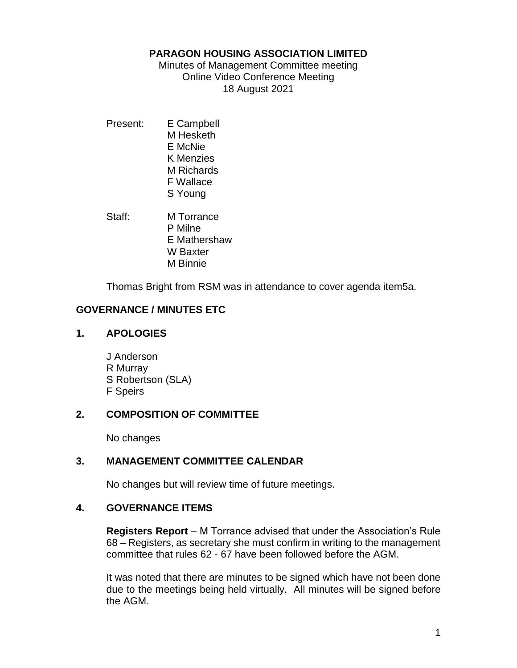### **PARAGON HOUSING ASSOCIATION LIMITED**

Minutes of Management Committee meeting Online Video Conference Meeting 18 August 2021

Present: E Campbell M Hesketh E McNie K Menzies M Richards F Wallace S Young

Staff: M Torrance P Milne E Mathershaw W Baxter M Binnie

Thomas Bright from RSM was in attendance to cover agenda item5a.

# **GOVERNANCE / MINUTES ETC**

## **1. APOLOGIES**

J Anderson R Murray S Robertson (SLA) F Speirs

# **2. COMPOSITION OF COMMITTEE**

No changes

# **3. MANAGEMENT COMMITTEE CALENDAR**

No changes but will review time of future meetings.

## **4. GOVERNANCE ITEMS**

**Registers Report** – M Torrance advised that under the Association's Rule 68 – Registers, as secretary she must confirm in writing to the management committee that rules 62 - 67 have been followed before the AGM.

It was noted that there are minutes to be signed which have not been done due to the meetings being held virtually. All minutes will be signed before the AGM.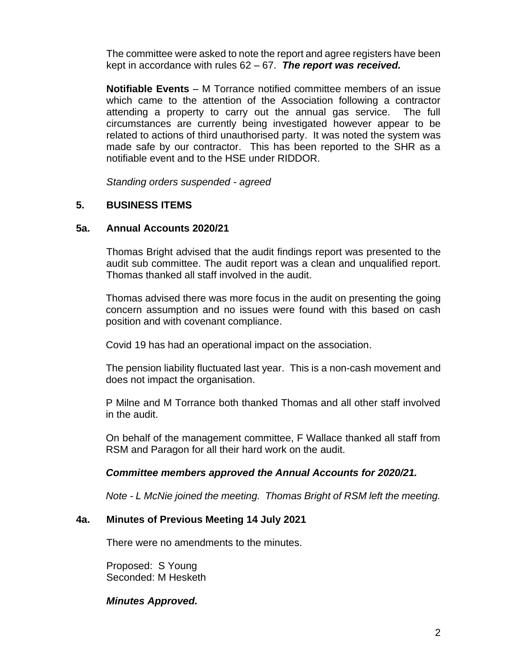The committee were asked to note the report and agree registers have been kept in accordance with rules 62 – 67. *The report was received.*

**Notifiable Events** – M Torrance notified committee members of an issue which came to the attention of the Association following a contractor attending a property to carry out the annual gas service. The full circumstances are currently being investigated however appear to be related to actions of third unauthorised party. It was noted the system was made safe by our contractor. This has been reported to the SHR as a notifiable event and to the HSE under RIDDOR.

*Standing orders suspended - agreed*

## **5. BUSINESS ITEMS**

#### **5a. Annual Accounts 2020/21**

Thomas Bright advised that the audit findings report was presented to the audit sub committee. The audit report was a clean and unqualified report. Thomas thanked all staff involved in the audit.

Thomas advised there was more focus in the audit on presenting the going concern assumption and no issues were found with this based on cash position and with covenant compliance.

Covid 19 has had an operational impact on the association.

The pension liability fluctuated last year. This is a non-cash movement and does not impact the organisation.

P Milne and M Torrance both thanked Thomas and all other staff involved in the audit.

On behalf of the management committee, F Wallace thanked all staff from RSM and Paragon for all their hard work on the audit.

#### *Committee members approved the Annual Accounts for 2020/21.*

*Note - L McNie joined the meeting. Thomas Bright of RSM left the meeting.*

#### **4a. Minutes of Previous Meeting 14 July 2021**

There were no amendments to the minutes.

Proposed: S Young Seconded: M Hesketh

#### *Minutes Approved.*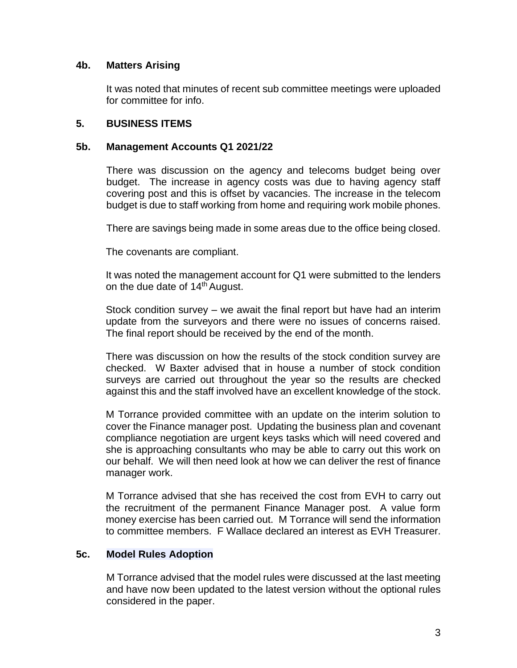## **4b. Matters Arising**

It was noted that minutes of recent sub committee meetings were uploaded for committee for info.

## **5. BUSINESS ITEMS**

## **5b. Management Accounts Q1 2021/22**

There was discussion on the agency and telecoms budget being over budget. The increase in agency costs was due to having agency staff covering post and this is offset by vacancies. The increase in the telecom budget is due to staff working from home and requiring work mobile phones.

There are savings being made in some areas due to the office being closed.

The covenants are compliant.

It was noted the management account for Q1 were submitted to the lenders on the due date of 14<sup>th</sup> August.

Stock condition survey – we await the final report but have had an interim update from the surveyors and there were no issues of concerns raised. The final report should be received by the end of the month.

There was discussion on how the results of the stock condition survey are checked. W Baxter advised that in house a number of stock condition surveys are carried out throughout the year so the results are checked against this and the staff involved have an excellent knowledge of the stock.

M Torrance provided committee with an update on the interim solution to cover the Finance manager post. Updating the business plan and covenant compliance negotiation are urgent keys tasks which will need covered and she is approaching consultants who may be able to carry out this work on our behalf. We will then need look at how we can deliver the rest of finance manager work.

M Torrance advised that she has received the cost from EVH to carry out the recruitment of the permanent Finance Manager post. A value form money exercise has been carried out. M Torrance will send the information to committee members. F Wallace declared an interest as EVH Treasurer.

## **5c. Model Rules Adoption**

M Torrance advised that the model rules were discussed at the last meeting and have now been updated to the latest version without the optional rules considered in the paper.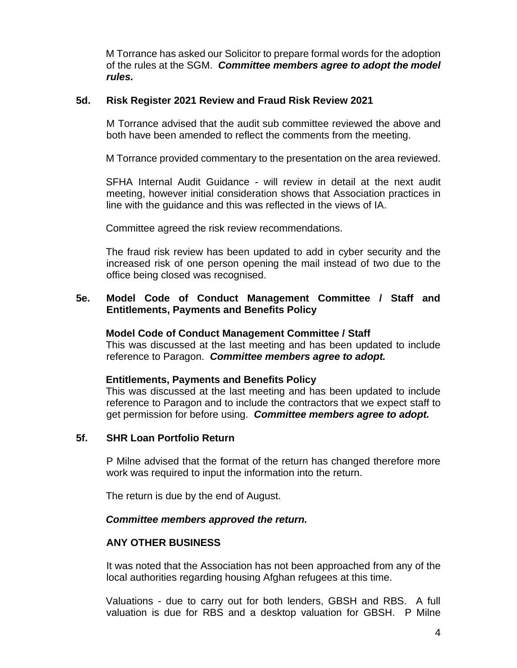M Torrance has asked our Solicitor to prepare formal words for the adoption of the rules at the SGM. *Committee members agree to adopt the model rules.*

## **5d. Risk Register 2021 Review and Fraud Risk Review 2021**

M Torrance advised that the audit sub committee reviewed the above and both have been amended to reflect the comments from the meeting.

M Torrance provided commentary to the presentation on the area reviewed.

SFHA Internal Audit Guidance - will review in detail at the next audit meeting, however initial consideration shows that Association practices in line with the guidance and this was reflected in the views of IA.

Committee agreed the risk review recommendations.

The fraud risk review has been updated to add in cyber security and the increased risk of one person opening the mail instead of two due to the office being closed was recognised.

## **5e. Model Code of Conduct Management Committee / Staff and Entitlements, Payments and Benefits Policy**

#### **Model Code of Conduct Management Committee / Staff**

This was discussed at the last meeting and has been updated to include reference to Paragon. *Committee members agree to adopt.*

## **Entitlements, Payments and Benefits Policy**

This was discussed at the last meeting and has been updated to include reference to Paragon and to include the contractors that we expect staff to get permission for before using. *Committee members agree to adopt.*

## **5f. SHR Loan Portfolio Return**

P Milne advised that the format of the return has changed therefore more work was required to input the information into the return.

The return is due by the end of August.

## *Committee members approved the return.*

## **ANY OTHER BUSINESS**

It was noted that the Association has not been approached from any of the local authorities regarding housing Afghan refugees at this time.

Valuations - due to carry out for both lenders, GBSH and RBS. A full valuation is due for RBS and a desktop valuation for GBSH. P Milne